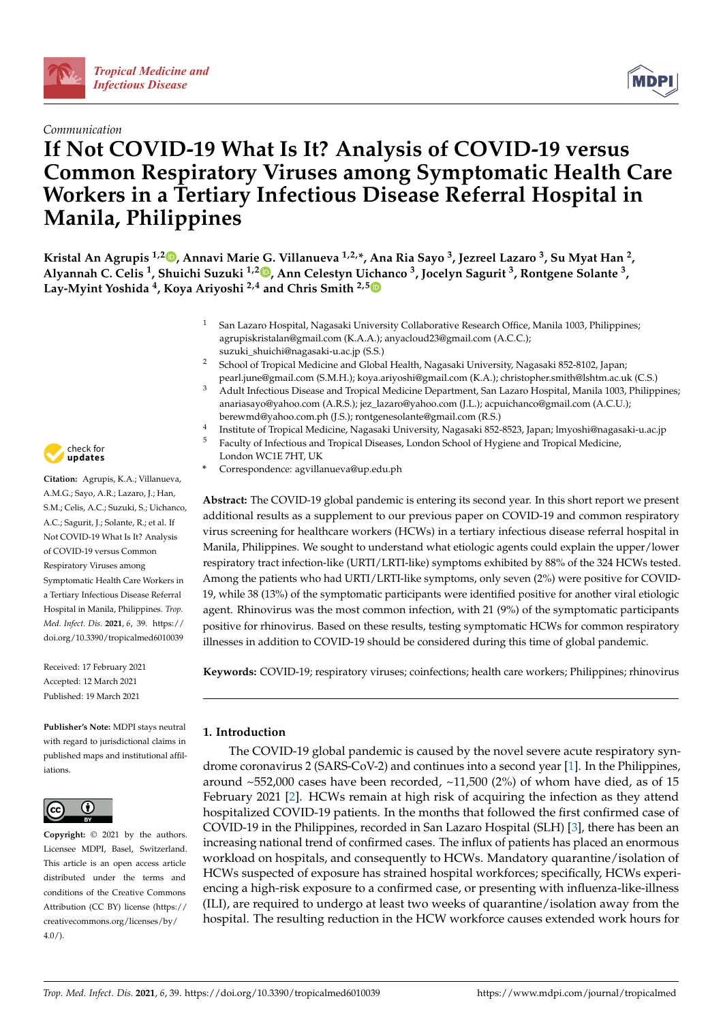



# **If Not COVID-19 What Is It? Analysis of COVID-19 versus Common Respiratory Viruses among Symptomatic Health Care Workers in a Tertiary Infectious Disease Referral Hospital in Manila, Philippines**

**Kristal An Agrupis 1,[2](https://orcid.org/0000-0003-2917-2589) , Annavi Marie G. Villanueva 1,2,\*, Ana Ria Sayo <sup>3</sup> , Jezreel Lazaro <sup>3</sup> , Su Myat Han <sup>2</sup> , Alyannah C. Celis <sup>1</sup> , Shuichi Suzuki 1,2 [,](https://orcid.org/0000-0001-8922-7428) Ann Celestyn Ui[cha](https://orcid.org/0000-0001-9238-3202)nco <sup>3</sup> , Jocelyn Sagurit <sup>3</sup> , Rontgene Solante <sup>3</sup> , Lay-Myint Yoshida <sup>4</sup> , Koya Ariyoshi 2,4 and Chris Smith 2,5**

- San Lazaro Hospital, Nagasaki University Collaborative Research Office, Manila 1003, Philippines; agrupiskristalan@gmail.com (K.A.A.); anyacloud23@gmail.com (A.C.C.); suzuki\_shuichi@nagasaki-u.ac.jp (S.S.)
- <sup>2</sup> School of Tropical Medicine and Global Health, Nagasaki University, Nagasaki 852-8102, Japan; pearl.june@gmail.com (S.M.H.); koya.ariyoshi@gmail.com (K.A.); christopher.smith@lshtm.ac.uk (C.S.)
- Adult Infectious Disease and Tropical Medicine Department, San Lazaro Hospital, Manila 1003, Philippines; anariasayo@yahoo.com (A.R.S.); jez\_lazaro@yahoo.com (J.L.); acpuichanco@gmail.com (A.C.U.); berewmd@yahoo.com.ph (J.S.); rontgenesolante@gmail.com (R.S.)
- 4 Institute of Tropical Medicine, Nagasaki University, Nagasaki 852-8523, Japan; lmyoshi@nagasaki-u.ac.jp
- <sup>5</sup> Faculty of Infectious and Tropical Diseases, London School of Hygiene and Tropical Medicine, London WC1E 7HT, UK
	- **\*** Correspondence: agvillanueva@up.edu.ph

**Abstract:** The COVID-19 global pandemic is entering its second year. In this short report we present additional results as a supplement to our previous paper on COVID-19 and common respiratory virus screening for healthcare workers (HCWs) in a tertiary infectious disease referral hospital in Manila, Philippines. We sought to understand what etiologic agents could explain the upper/lower respiratory tract infection-like (URTI/LRTI-like) symptoms exhibited by 88% of the 324 HCWs tested. Among the patients who had URTI/LRTI-like symptoms, only seven (2%) were positive for COVID-19, while 38 (13%) of the symptomatic participants were identified positive for another viral etiologic agent. Rhinovirus was the most common infection, with 21 (9%) of the symptomatic participants positive for rhinovirus. Based on these results, testing symptomatic HCWs for common respiratory illnesses in addition to COVID-19 should be considered during this time of global pandemic.

**Keywords:** COVID-19; respiratory viruses; coinfections; health care workers; Philippines; rhinovirus

# **1. Introduction**

The COVID-19 global pandemic is caused by the novel severe acute respiratory syndrome coronavirus 2 (SARS-CoV-2) and continues into a second year [\[1\]](#page-4-0). In the Philippines, around  $\sim$  552,000 cases have been recorded,  $\sim$  11,500 (2%) of whom have died, as of 15 February 2021 [\[2\]](#page-4-1). HCWs remain at high risk of acquiring the infection as they attend hospitalized COVID-19 patients. In the months that followed the first confirmed case of COVID-19 in the Philippines, recorded in San Lazaro Hospital (SLH) [\[3\]](#page-4-2), there has been an increasing national trend of confirmed cases. The influx of patients has placed an enormous workload on hospitals, and consequently to HCWs. Mandatory quarantine/isolation of HCWs suspected of exposure has strained hospital workforces; specifically, HCWs experiencing a high-risk exposure to a confirmed case, or presenting with influenza-like-illness (ILI), are required to undergo at least two weeks of quarantine/isolation away from the hospital. The resulting reduction in the HCW workforce causes extended work hours for



**Citation:** Agrupis, K.A.; Villanueva, A.M.G.; Sayo, A.R.; Lazaro, J.; Han, S.M.; Celis, A.C.; Suzuki, S.; Uichanco, A.C.; Sagurit, J.; Solante, R.; et al. If Not COVID-19 What Is It? Analysis of COVID-19 versus Common Respiratory Viruses among Symptomatic Health Care Workers in a Tertiary Infectious Disease Referral Hospital in Manila, Philippines. *Trop. Med. Infect. Dis.* **2021**, *6*, 39. [https://](https://doi.org/10.3390/tropicalmed6010039) [doi.org/10.3390/tropicalmed6010039](https://doi.org/10.3390/tropicalmed6010039)

Received: 17 February 2021 Accepted: 12 March 2021 Published: 19 March 2021

**Publisher's Note:** MDPI stays neutral with regard to jurisdictional claims in published maps and institutional affiliations.



**Copyright:** © 2021 by the authors. Licensee MDPI, Basel, Switzerland. This article is an open access article distributed under the terms and conditions of the Creative Commons Attribution (CC BY) license (https:/[/](https://creativecommons.org/licenses/by/4.0/) [creativecommons.org/licenses/by/](https://creativecommons.org/licenses/by/4.0/)  $4.0/$ ).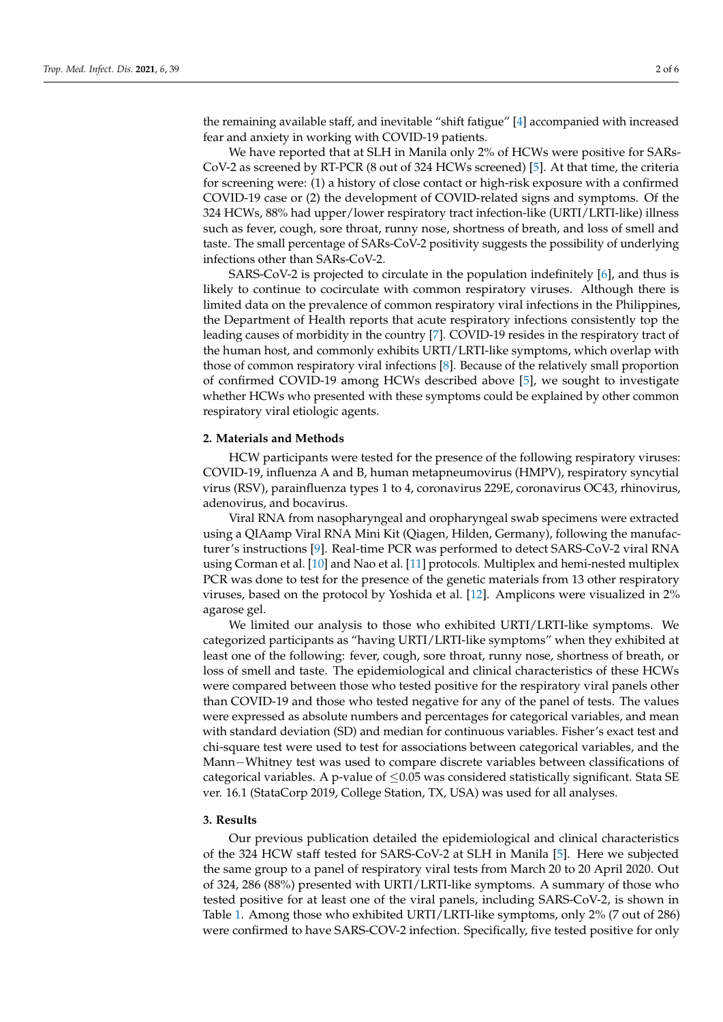the remaining available staff, and inevitable "shift fatigue" [\[4\]](#page-5-0) accompanied with increased fear and anxiety in working with COVID-19 patients.

We have reported that at SLH in Manila only 2% of HCWs were positive for SARs-CoV-2 as screened by RT-PCR (8 out of 324 HCWs screened) [\[5\]](#page-5-1). At that time, the criteria for screening were: (1) a history of close contact or high-risk exposure with a confirmed COVID-19 case or (2) the development of COVID-related signs and symptoms. Of the 324 HCWs, 88% had upper/lower respiratory tract infection-like (URTI/LRTI-like) illness such as fever, cough, sore throat, runny nose, shortness of breath, and loss of smell and taste. The small percentage of SARs-CoV-2 positivity suggests the possibility of underlying infections other than SARs-CoV-2.

SARS-CoV-2 is projected to circulate in the population indefinitely [\[6\]](#page-5-2), and thus is likely to continue to cocirculate with common respiratory viruses. Although there is limited data on the prevalence of common respiratory viral infections in the Philippines, the Department of Health reports that acute respiratory infections consistently top the leading causes of morbidity in the country [\[7\]](#page-5-3). COVID-19 resides in the respiratory tract of the human host, and commonly exhibits URTI/LRTI-like symptoms, which overlap with those of common respiratory viral infections [\[8\]](#page-5-4). Because of the relatively small proportion of confirmed COVID-19 among HCWs described above [\[5\]](#page-5-1), we sought to investigate whether HCWs who presented with these symptoms could be explained by other common respiratory viral etiologic agents.

#### **2. Materials and Methods**

HCW participants were tested for the presence of the following respiratory viruses: COVID-19, influenza A and B, human metapneumovirus (HMPV), respiratory syncytial virus (RSV), parainfluenza types 1 to 4, coronavirus 229E, coronavirus OC43, rhinovirus, adenovirus, and bocavirus.

Viral RNA from nasopharyngeal and oropharyngeal swab specimens were extracted using a QIAamp Viral RNA Mini Kit (Qiagen, Hilden, Germany), following the manufacturer's instructions [\[9\]](#page-5-5). Real-time PCR was performed to detect SARS-CoV-2 viral RNA using Corman et al. [\[10\]](#page-5-6) and Nao et al. [\[11\]](#page-5-7) protocols. Multiplex and hemi-nested multiplex PCR was done to test for the presence of the genetic materials from 13 other respiratory viruses, based on the protocol by Yoshida et al. [\[12\]](#page-5-8). Amplicons were visualized in 2% agarose gel.

We limited our analysis to those who exhibited URTI/LRTI-like symptoms. We categorized participants as "having URTI/LRTI-like symptoms" when they exhibited at least one of the following: fever, cough, sore throat, runny nose, shortness of breath, or loss of smell and taste. The epidemiological and clinical characteristics of these HCWs were compared between those who tested positive for the respiratory viral panels other than COVID-19 and those who tested negative for any of the panel of tests. The values were expressed as absolute numbers and percentages for categorical variables, and mean with standard deviation (SD) and median for continuous variables. Fisher's exact test and chi-square test were used to test for associations between categorical variables, and the Mann−Whitney test was used to compare discrete variables between classifications of categorical variables. A p-value of  $\leq$ 0.05 was considered statistically significant. Stata SE ver. 16.1 (StataCorp 2019, College Station, TX, USA) was used for all analyses.

#### **3. Results**

Our previous publication detailed the epidemiological and clinical characteristics of the 324 HCW staff tested for SARS-CoV-2 at SLH in Manila [\[5\]](#page-5-1). Here we subjected the same group to a panel of respiratory viral tests from March 20 to 20 April 2020. Out of 324, 286 (88%) presented with URTI/LRTI-like symptoms. A summary of those who tested positive for at least one of the viral panels, including SARS-CoV-2, is shown in Table [1.](#page-2-0) Among those who exhibited URTI/LRTI-like symptoms, only 2% (7 out of 286) were confirmed to have SARS-COV-2 infection. Specifically, five tested positive for only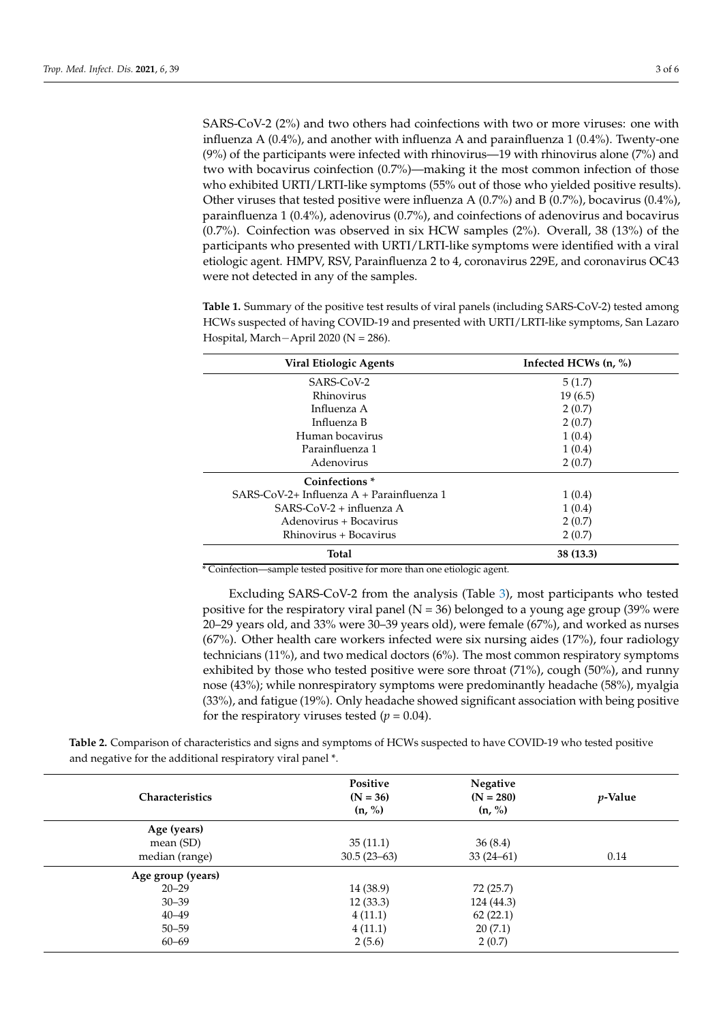SARS-CoV-2 (2%) and two others had coinfections with two or more viruses: one with influenza A (0.4%), and another with influenza A and parainfluenza 1 (0.4%). Twenty-one (9%) of the participants were infected with rhinovirus—19 with rhinovirus alone (7%) and two with bocavirus coinfection (0.7%)—making it the most common infection of those who exhibited URTI/LRTI-like symptoms (55% out of those who yielded positive results). Other viruses that tested positive were influenza A  $(0.7%)$  and B  $(0.7%)$ , bocavirus  $(0.4%)$ , parainfluenza 1 (0.4%), adenovirus (0.7%), and coinfections of adenovirus and bocavirus (0.7%). Coinfection was observed in six HCW samples (2%). Overall, 38 (13%) of the participants who presented with URTI/LRTI-like symptoms were identified with a viral etiologic agent. HMPV, RSV, Parainfluenza 2 to 4, coronavirus 229E, and coronavirus OC43 were not detected in any of the samples.

<span id="page-2-0"></span>**Table 1.** Summary of the positive test results of viral panels (including SARS-CoV-2) tested among HCWs suspected of having COVID-19 and presented with URTI/LRTI-like symptoms, San Lazaro Hospital, March−April 2020 (N = 286).

| Viral Etiologic Agents                      | Infected HCWs $(n, %)$ |  |
|---------------------------------------------|------------------------|--|
| SARS-CoV-2                                  | 5(1.7)                 |  |
| Rhinovirus                                  | 19(6.5)                |  |
| Influenza A                                 | 2(0.7)                 |  |
| Influenza B                                 | 2(0.7)                 |  |
| Human bocavirus                             | 1(0.4)                 |  |
| Parainfluenza 1                             | 1(0.4)                 |  |
| Adenovirus                                  | 2(0.7)                 |  |
| Coinfections <sup>*</sup>                   |                        |  |
| $SARS-CoV-2+ Influenza A + Parainfluenza 1$ | 1(0.4)                 |  |
| $SARS-CoV-2 + influenza A$                  | 1(0.4)                 |  |
| Adenovirus + Bocavirus                      | 2(0.7)                 |  |
| Rhinovirus + Bocavirus                      | 2(0.7)                 |  |
| <b>Total</b>                                | 38 (13.3)              |  |

\* Coinfection—sample tested positive for more than one etiologic agent.

Excluding SARS-CoV-2 from the analysis (Table [3\)](#page-3-0), most participants who tested positive for the respiratory viral panel ( $N = 36$ ) belonged to a young age group (39% were 20–29 years old, and 33% were 30–39 years old), were female (67%), and worked as nurses (67%). Other health care workers infected were six nursing aides (17%), four radiology technicians (11%), and two medical doctors (6%). The most common respiratory symptoms exhibited by those who tested positive were sore throat (71%), cough (50%), and runny nose (43%); while nonrespiratory symptoms were predominantly headache (58%), myalgia (33%), and fatigue (19%). Only headache showed significant association with being positive for the respiratory viruses tested  $(p = 0.04)$ .

**Table 2.** Comparison of characteristics and signs and symptoms of HCWs suspected to have COVID-19 who tested positive and negative for the additional respiratory viral panel \*.

| <b>Characteristics</b> | Positive<br>$(N = 36)$<br>(n, %) | Negative<br>$(N = 280)$<br>(n, %) | <i>p</i> -Value |
|------------------------|----------------------------------|-----------------------------------|-----------------|
| Age (years)            |                                  |                                   |                 |
| mean (SD)              | 35(11.1)                         | 36(8.4)                           |                 |
| median (range)         | $30.5(23-63)$                    | $33(24-61)$                       | 0.14            |
| Age group (years)      |                                  |                                   |                 |
| $20 - 29$              | 14 (38.9)                        | 72 (25.7)                         |                 |
| $30 - 39$              | 12(33.3)                         | 124 (44.3)                        |                 |
| $40 - 49$              | 4(11.1)                          | 62(22.1)                          |                 |
| $50 - 59$              | 4(11.1)                          | 20(7.1)                           |                 |
| $60 - 69$              | 2(5.6)                           | 2(0.7)                            |                 |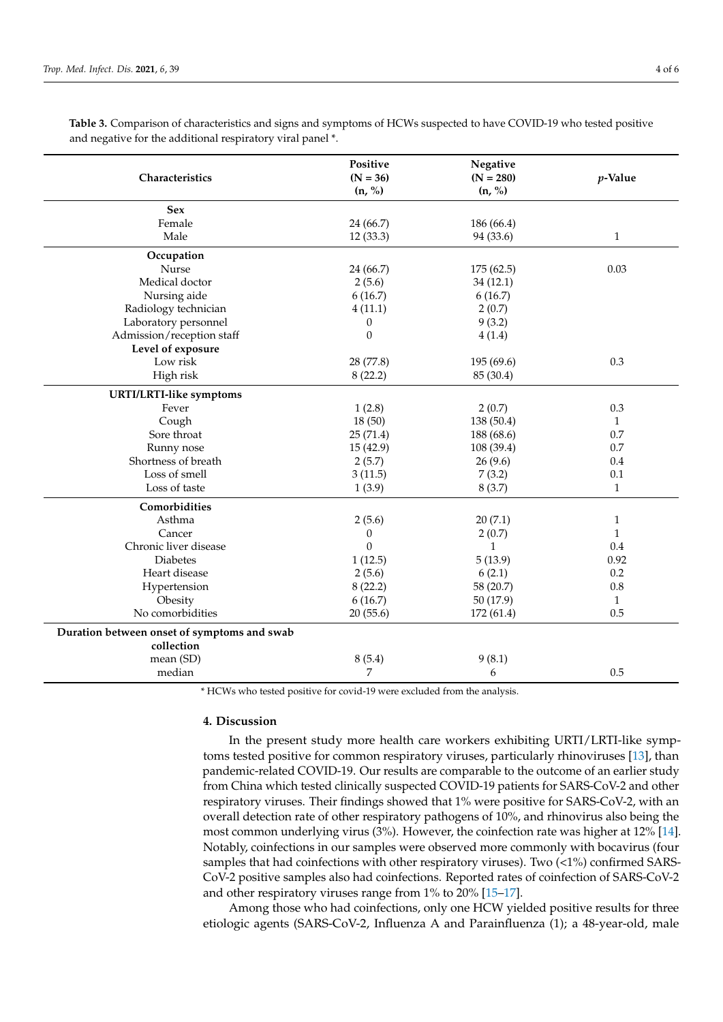| Characteristics                                           | Positive<br>$(N = 36)$ | Negative<br>$(N = 280)$ | p-Value      |
|-----------------------------------------------------------|------------------------|-------------------------|--------------|
|                                                           | (n, %)                 | (n, %)                  |              |
| <b>Sex</b>                                                |                        |                         |              |
| Female                                                    | 24 (66.7)              | 186 (66.4)              |              |
| Male                                                      | 12(33.3)               | 94 (33.6)               | $\mathbf{1}$ |
| Occupation                                                |                        |                         |              |
| Nurse                                                     | 24 (66.7)              | 175 (62.5)              | 0.03         |
| Medical doctor                                            | 2(5.6)                 | 34(12.1)                |              |
| Nursing aide                                              | 6(16.7)                | 6(16.7)                 |              |
| Radiology technician                                      | 4(11.1)                | 2(0.7)                  |              |
| Laboratory personnel                                      | $\boldsymbol{0}$       | 9(3.2)                  |              |
| Admission/reception staff                                 | $\boldsymbol{0}$       | 4(1.4)                  |              |
| Level of exposure                                         |                        |                         |              |
| Low risk                                                  | 28 (77.8)              | 195 (69.6)              | 0.3          |
| High risk                                                 | 8(22.2)                | 85 (30.4)               |              |
| <b>URTI/LRTI-like symptoms</b>                            |                        |                         |              |
| Fever                                                     | 1(2.8)                 | 2(0.7)                  | 0.3          |
| Cough                                                     | 18(50)                 | 138 (50.4)              | $\mathbf{1}$ |
| Sore throat                                               | 25(71.4)               | 188 (68.6)              | 0.7          |
| Runny nose                                                | 15(42.9)               | 108 (39.4)              | 0.7          |
| Shortness of breath                                       | 2(5.7)                 | 26(9.6)                 | 0.4          |
| Loss of smell                                             | 3(11.5)                | 7(3.2)                  | 0.1          |
| Loss of taste                                             | 1(3.9)                 | 8(3.7)                  | $\mathbf{1}$ |
| Comorbidities                                             |                        |                         |              |
| Asthma                                                    | 2(5.6)                 | 20(7.1)                 | $\mathbf{1}$ |
| Cancer                                                    | 0                      | 2(0.7)                  | $\mathbf{1}$ |
| Chronic liver disease                                     | $\Omega$               | $\mathbf{1}$            | 0.4          |
| <b>Diabetes</b>                                           | 1(12.5)                | 5(13.9)                 | 0.92         |
| Heart disease                                             | 2(5.6)                 | 6(2.1)                  | 0.2          |
| Hypertension                                              | 8(22.2)                | 58 (20.7)               | $0.8\,$      |
| Obesity                                                   | 6(16.7)                | 50(17.9)                | $\mathbf{1}$ |
| No comorbidities                                          | 20(55.6)               | 172 (61.4)              | 0.5          |
| Duration between onset of symptoms and swab<br>collection |                        |                         |              |
| mean (SD)                                                 | 8(5.4)                 | 9(8.1)                  |              |
| median                                                    | 7                      | 6                       | 0.5          |
|                                                           |                        |                         |              |

<span id="page-3-0"></span>**Table 3.** Comparison of characteristics and signs and symptoms of HCWs suspected to have COVID-19 who tested positive and negative for the additional respiratory viral panel \*.

\* HCWs who tested positive for covid-19 were excluded from the analysis.

### **4. Discussion**

In the present study more health care workers exhibiting URTI/LRTI-like symptoms tested positive for common respiratory viruses, particularly rhinoviruses [\[13\]](#page-5-9), than pandemic-related COVID-19. Our results are comparable to the outcome of an earlier study from China which tested clinically suspected COVID-19 patients for SARS-CoV-2 and other respiratory viruses. Their findings showed that 1% were positive for SARS-CoV-2, with an overall detection rate of other respiratory pathogens of 10%, and rhinovirus also being the most common underlying virus (3%). However, the coinfection rate was higher at 12% [\[14\]](#page-5-10). Notably, coinfections in our samples were observed more commonly with bocavirus (four samples that had coinfections with other respiratory viruses). Two (<1%) confirmed SARS-CoV-2 positive samples also had coinfections. Reported rates of coinfection of SARS-CoV-2 and other respiratory viruses range from 1% to 20% [\[15](#page-5-11)[–17\]](#page-5-12).

Among those who had coinfections, only one HCW yielded positive results for three etiologic agents (SARS-CoV-2, Influenza A and Parainfluenza (1); a 48-year-old, male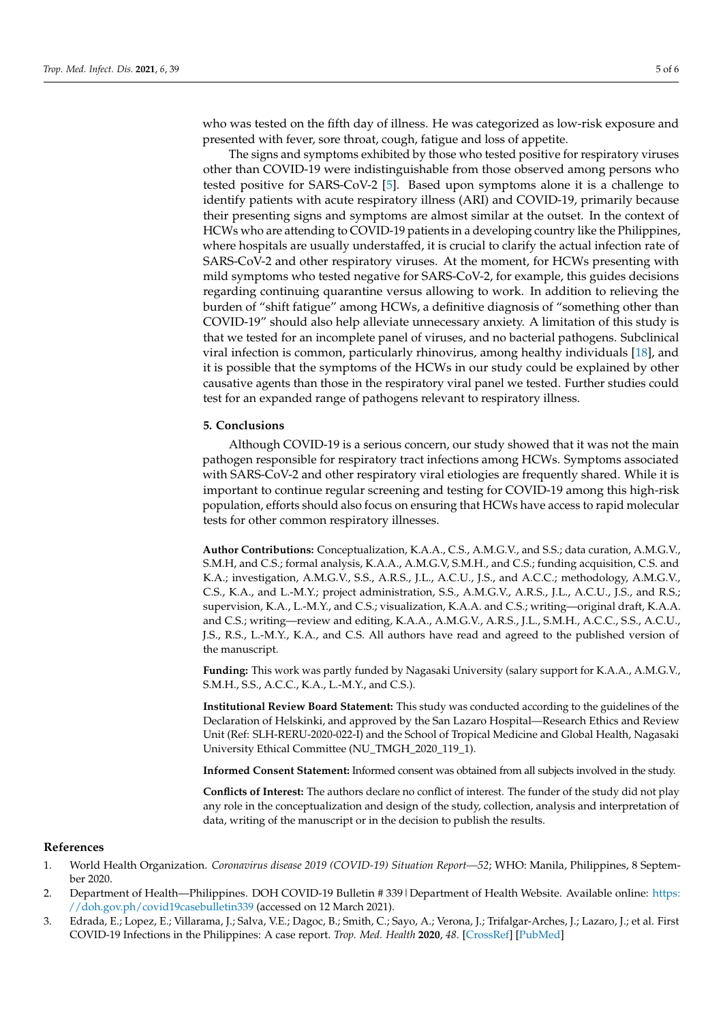who was tested on the fifth day of illness. He was categorized as low-risk exposure and presented with fever, sore throat, cough, fatigue and loss of appetite.

The signs and symptoms exhibited by those who tested positive for respiratory viruses other than COVID-19 were indistinguishable from those observed among persons who tested positive for SARS-CoV-2 [\[5\]](#page-5-1). Based upon symptoms alone it is a challenge to identify patients with acute respiratory illness (ARI) and COVID-19, primarily because their presenting signs and symptoms are almost similar at the outset. In the context of HCWs who are attending to COVID-19 patients in a developing country like the Philippines, where hospitals are usually understaffed, it is crucial to clarify the actual infection rate of SARS-CoV-2 and other respiratory viruses. At the moment, for HCWs presenting with mild symptoms who tested negative for SARS-CoV-2, for example, this guides decisions regarding continuing quarantine versus allowing to work. In addition to relieving the burden of "shift fatigue" among HCWs, a definitive diagnosis of "something other than COVID-19" should also help alleviate unnecessary anxiety. A limitation of this study is that we tested for an incomplete panel of viruses, and no bacterial pathogens. Subclinical viral infection is common, particularly rhinovirus, among healthy individuals [\[18\]](#page-5-13), and it is possible that the symptoms of the HCWs in our study could be explained by other causative agents than those in the respiratory viral panel we tested. Further studies could test for an expanded range of pathogens relevant to respiratory illness.

## **5. Conclusions**

Although COVID-19 is a serious concern, our study showed that it was not the main pathogen responsible for respiratory tract infections among HCWs. Symptoms associated with SARS-CoV-2 and other respiratory viral etiologies are frequently shared. While it is important to continue regular screening and testing for COVID-19 among this high-risk population, efforts should also focus on ensuring that HCWs have access to rapid molecular tests for other common respiratory illnesses.

**Author Contributions:** Conceptualization, K.A.A., C.S., A.M.G.V., and S.S.; data curation, A.M.G.V., S.M.H, and C.S.; formal analysis, K.A.A., A.M.G.V, S.M.H., and C.S.; funding acquisition, C.S. and K.A.; investigation, A.M.G.V., S.S., A.R.S., J.L., A.C.U., J.S., and A.C.C.; methodology, A.M.G.V., C.S., K.A., and L.-M.Y.; project administration, S.S., A.M.G.V., A.R.S., J.L., A.C.U., J.S., and R.S.; supervision, K.A., L.-M.Y., and C.S.; visualization, K.A.A. and C.S.; writing—original draft, K.A.A. and C.S.; writing—review and editing, K.A.A., A.M.G.V., A.R.S., J.L., S.M.H., A.C.C., S.S., A.C.U., J.S., R.S., L.-M.Y., K.A., and C.S. All authors have read and agreed to the published version of the manuscript.

**Funding:** This work was partly funded by Nagasaki University (salary support for K.A.A., A.M.G.V., S.M.H., S.S., A.C.C., K.A., L.-M.Y., and C.S.).

**Institutional Review Board Statement:** This study was conducted according to the guidelines of the Declaration of Helskinki, and approved by the San Lazaro Hospital—Research Ethics and Review Unit (Ref: SLH-RERU-2020-022-I) and the School of Tropical Medicine and Global Health, Nagasaki University Ethical Committee (NU\_TMGH\_2020\_119\_1).

**Informed Consent Statement:** Informed consent was obtained from all subjects involved in the study.

**Conflicts of Interest:** The authors declare no conflict of interest. The funder of the study did not play any role in the conceptualization and design of the study, collection, analysis and interpretation of data, writing of the manuscript or in the decision to publish the results.

#### **References**

- <span id="page-4-0"></span>1. World Health Organization. *Coronavirus disease 2019 (COVID-19) Situation Report—52*; WHO: Manila, Philippines, 8 September 2020.
- <span id="page-4-1"></span>2. Department of Health—Philippines. DOH COVID-19 Bulletin # 339|Department of Health Website. Available online: [https:](https://doh.gov.ph/covid19casebulletin339) [//doh.gov.ph/covid19casebulletin339](https://doh.gov.ph/covid19casebulletin339) (accessed on 12 March 2021).
- <span id="page-4-2"></span>3. Edrada, E.; Lopez, E.; Villarama, J.; Salva, V.E.; Dagoc, B.; Smith, C.; Sayo, A.; Verona, J.; Trifalgar-Arches, J.; Lazaro, J.; et al. First COVID-19 Infections in the Philippines: A case report. *Trop. Med. Health* **2020**, *48*. [\[CrossRef\]](http://doi.org/10.1186/s41182-020-00203-0) [\[PubMed\]](http://www.ncbi.nlm.nih.gov/pubmed/32308532)